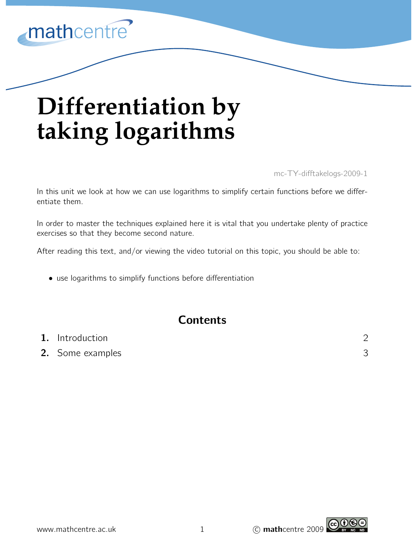

# **Differentiation by taking logarithms**

mc-TY-difftakelogs-2009-1

In this unit we look at how we can use logarithms to simplify certain functions before we differentiate them.

In order to master the techniques explained here it is vital that you undertake plenty of practice exercises so that they become second nature.

After reading this text, and/or viewing the video tutorial on this topic, you should be able to:

• use logarithms to simplify functions before differentiation

# **Contents**

| 1. Introduction  |  |
|------------------|--|
| 2. Some examples |  |

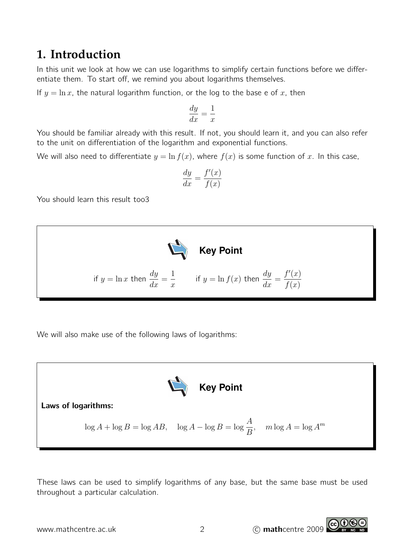# **1. Introduction**

In this unit we look at how we can use logarithms to simplify certain functions before we differentiate them. To start off, we remind you about logarithms themselves.

If  $y = \ln x$ , the natural logarithm function, or the log to the base e of x, then

$$
\frac{dy}{dx} = \frac{1}{x}
$$

You should be familiar already with this result. If not, you should learn it, and you can also refer to the unit on differentiation of the logarithm and exponential functions.

We will also need to differentiate  $y = \ln f(x)$ , where  $f(x)$  is some function of x. In this case,

$$
\frac{dy}{dx} = \frac{f'(x)}{f(x)}
$$

You should learn this result too3



We will also make use of the following laws of logarithms:



These laws can be used to simplify logarithms of any base, but the same base must be used throughout a particular calculation.

www.mathcentre.ac.uk 2 C mathcentre 2009

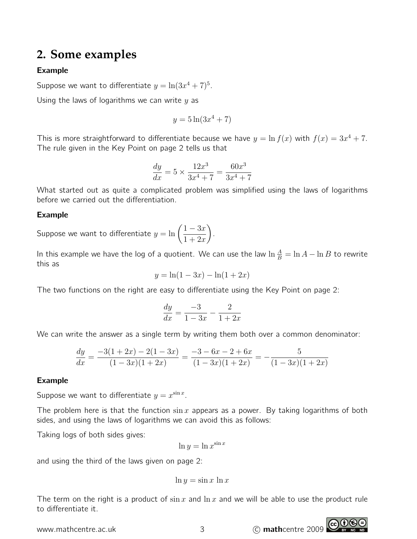# **2. Some examples**

## Example

Suppose we want to differentiate  $y = \ln(3x^4 + 7)^5$ .

Using the laws of logarithms we can write  $y$  as

$$
y = 5\ln(3x^4 + 7)
$$

This is more straightforward to differentiate because we have  $y = \ln f(x)$  with  $f(x) = 3x^4 + 7$ . The rule given in the Key Point on page 2 tells us that

$$
\frac{dy}{dx} = 5 \times \frac{12x^3}{3x^4 + 7} = \frac{60x^3}{3x^4 + 7}
$$

What started out as quite a complicated problem was simplified using the laws of logarithms before we carried out the differentiation.

#### Example

Suppose we want to differentiate  $y = \ln\left(\frac{1-3x}{1+9}\right)$  $1 + 2x$ .

In this example we have the log of a quotient. We can use the law  $\ln\frac{A}{B}=\ln A-\ln B$  to rewrite this as

$$
y = \ln(1 - 3x) - \ln(1 + 2x)
$$

The two functions on the right are easy to differentiate using the Key Point on page 2:

$$
\frac{dy}{dx} = \frac{-3}{1 - 3x} - \frac{2}{1 + 2x}
$$

We can write the answer as a single term by writing them both over a common denominator:

$$
\frac{dy}{dx} = \frac{-3(1+2x) - 2(1-3x)}{(1-3x)(1+2x)} = \frac{-3-6x-2+6x}{(1-3x)(1+2x)} = -\frac{5}{(1-3x)(1+2x)}
$$

## Example

Suppose we want to differentiate  $y = x^{\sin x}$ .

The problem here is that the function  $\sin x$  appears as a power. By taking logarithms of both sides, and using the laws of logarithms we can avoid this as follows:

Taking logs of both sides gives:

$$
\ln y = \ln x^{\sin x}
$$

and using the third of the laws given on page 2:

$$
\ln y = \sin x \, \ln x
$$

The term on the right is a product of  $\sin x$  and  $\ln x$  and we will be able to use the product rule to differentiate it.

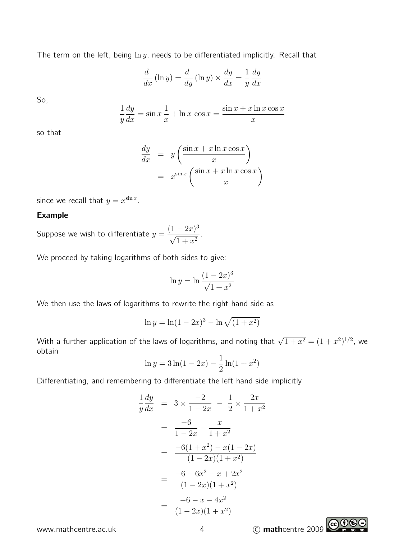The term on the left, being  $\ln y$ , needs to be differentiated implicitly. Recall that

$$
\frac{d}{dx}(\ln y) = \frac{d}{dy}(\ln y) \times \frac{dy}{dx} = \frac{1}{y}\frac{dy}{dx}
$$

So,

$$
\frac{1}{y}\frac{dy}{dx} = \sin x \frac{1}{x} + \ln x \cos x = \frac{\sin x + x \ln x \cos x}{x}
$$

so that

$$
\frac{dy}{dx} = y \left( \frac{\sin x + x \ln x \cos x}{x} \right)
$$

$$
= x^{\sin x} \left( \frac{\sin x + x \ln x \cos x}{x} \right)
$$

since we recall that  $y = x^{\sin x}$ .

## Example

Suppose we wish to differentiate  $y = \frac{(1-2x)^3}{\sqrt{2x}}$  $\frac{1}{\sqrt{1}}$  $\frac{2x}{1+x^2}$ .

We proceed by taking logarithms of both sides to give:

$$
\ln y = \ln \frac{(1 - 2x)^3}{\sqrt{1 + x^2}}
$$

We then use the laws of logarithms to rewrite the right hand side as

$$
\ln y = \ln(1 - 2x)^3 - \ln\sqrt{(1 + x^2)}
$$

With a further application of the laws of logarithms, and noting that  $\sqrt{1+x^2}=(1+x^2)^{1/2}$ , we obtain

$$
\ln y = 3\ln(1 - 2x) - \frac{1}{2}\ln(1 + x^2)
$$

Differentiating, and remembering to differentiate the left hand side implicitly

$$
\frac{1}{y}\frac{dy}{dx} = 3 \times \frac{-2}{1-2x} - \frac{1}{2} \times \frac{2x}{1+x^2}
$$

$$
= \frac{-6}{1-2x} - \frac{x}{1+x^2}
$$

$$
= \frac{-6(1+x^2) - x(1-2x)}{(1-2x)(1+x^2)}
$$

$$
= \frac{-6-6x^2 - x + 2x^2}{(1-2x)(1+x^2)}
$$

$$
= \frac{-6-x-4x^2}{(1-2x)(1+x^2)}
$$

www.mathcentre.ac.uk 4 C mathcentre 2009